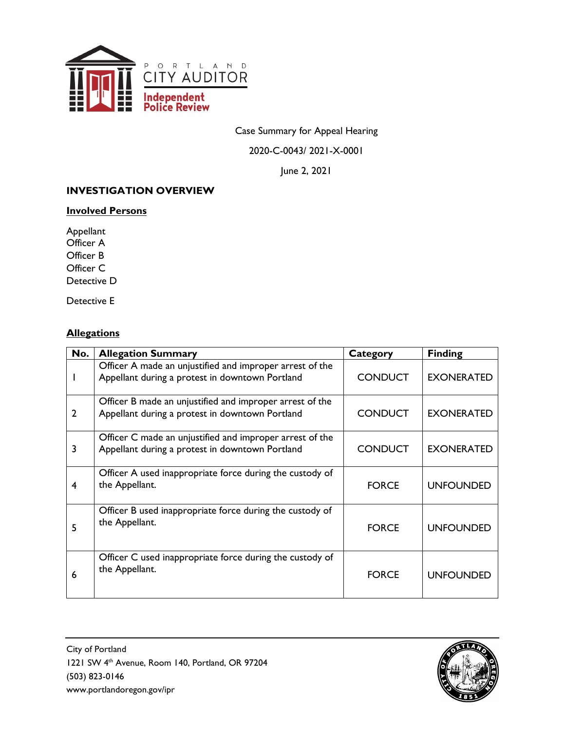

Case Summary for Appeal Hearing

2020-C-0043/ 2021-X-0001

June 2, 2021

# **INVESTIGATION OVERVIEW**

#### **Involved Persons**

Appellant Officer A Officer B Officer C Detective D

Detective E

# **Allegations**

| No.            | <b>Allegation Summary</b>                                                                                   | Category       | <b>Finding</b>    |
|----------------|-------------------------------------------------------------------------------------------------------------|----------------|-------------------|
|                | Officer A made an unjustified and improper arrest of the<br>Appellant during a protest in downtown Portland | <b>CONDUCT</b> | <b>EXONERATED</b> |
| $\overline{2}$ | Officer B made an unjustified and improper arrest of the<br>Appellant during a protest in downtown Portland | <b>CONDUCT</b> | <b>EXONERATED</b> |
| 3              | Officer C made an unjustified and improper arrest of the<br>Appellant during a protest in downtown Portland | <b>CONDUCT</b> | <b>EXONERATED</b> |
| 4              | Officer A used inappropriate force during the custody of<br>the Appellant.                                  | <b>FORCE</b>   | <b>UNFOUNDED</b>  |
| 5              | Officer B used inappropriate force during the custody of<br>the Appellant.                                  | <b>FORCE</b>   | <b>UNFOUNDED</b>  |
| 6              | Officer C used inappropriate force during the custody of<br>the Appellant.                                  | <b>FORCE</b>   | <b>UNFOUNDED</b>  |

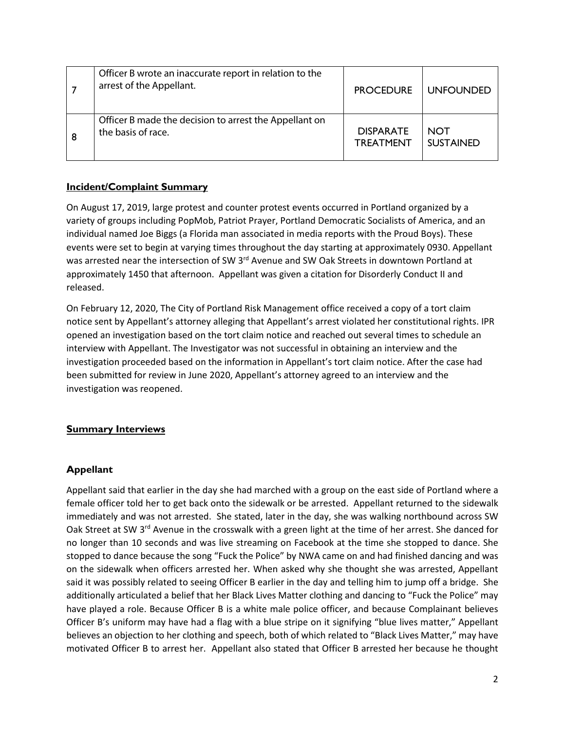| Officer B wrote an inaccurate report in relation to the<br>arrest of the Appellant. | <b>PROCEDURE</b> | <b>UNFOUNDED</b> |
|-------------------------------------------------------------------------------------|------------------|------------------|
| Officer B made the decision to arrest the Appellant on                              | <b>DISPARATE</b> | <b>NOT</b>       |
| the basis of race.                                                                  | <b>TREATMENT</b> | <b>SUSTAINED</b> |

## **Incident/Complaint Summary**

On August 17, 2019, large protest and counter protest events occurred in Portland organized by a variety of groups including PopMob, Patriot Prayer, Portland Democratic Socialists of America, and an individual named Joe Biggs (a Florida man associated in media reports with the Proud Boys). These events were set to begin at varying times throughout the day starting at approximately 0930. Appellant was arrested near the intersection of SW 3<sup>rd</sup> Avenue and SW Oak Streets in downtown Portland at approximately 1450 that afternoon. Appellant was given a citation for Disorderly Conduct II and released.

On February 12, 2020, The City of Portland Risk Management office received a copy of a tort claim notice sent by Appellant's attorney alleging that Appellant's arrest violated her constitutional rights. IPR opened an investigation based on the tort claim notice and reached out several times to schedule an interview with Appellant. The Investigator was not successful in obtaining an interview and the investigation proceeded based on the information in Appellant's tort claim notice. After the case had been submitted for review in June 2020, Appellant's attorney agreed to an interview and the investigation was reopened.

### **Summary Interviews**

### **Appellant**

Appellant said that earlier in the day she had marched with a group on the east side of Portland where a female officer told her to get back onto the sidewalk or be arrested. Appellant returned to the sidewalk immediately and was not arrested. She stated, later in the day, she was walking northbound across SW Oak Street at SW 3<sup>rd</sup> Avenue in the crosswalk with a green light at the time of her arrest. She danced for no longer than 10 seconds and was live streaming on Facebook at the time she stopped to dance. She stopped to dance because the song "Fuck the Police" by NWA came on and had finished dancing and was on the sidewalk when officers arrested her. When asked why she thought she was arrested, Appellant said it was possibly related to seeing Officer B earlier in the day and telling him to jump off a bridge. She additionally articulated a belief that her Black Lives Matter clothing and dancing to "Fuck the Police" may have played a role. Because Officer B is a white male police officer, and because Complainant believes Officer B's uniform may have had a flag with a blue stripe on it signifying "blue lives matter," Appellant believes an objection to her clothing and speech, both of which related to "Black Lives Matter," may have motivated Officer B to arrest her. Appellant also stated that Officer B arrested her because he thought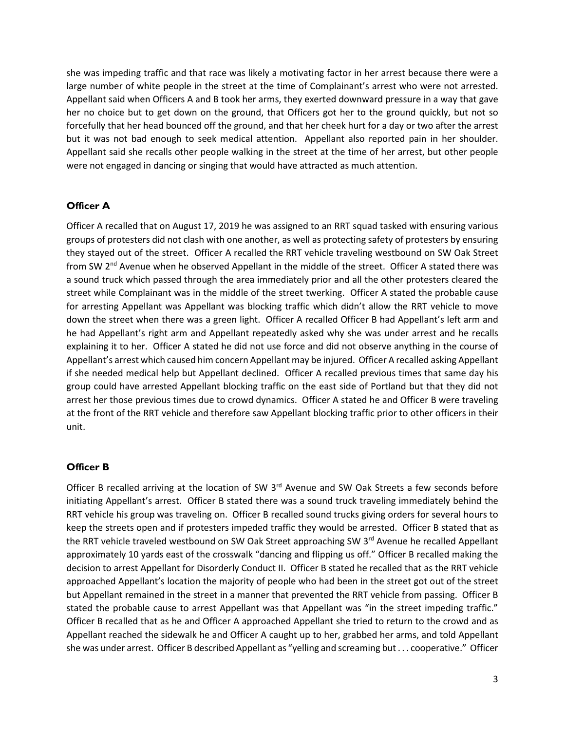she was impeding traffic and that race was likely a motivating factor in her arrest because there were a large number of white people in the street at the time of Complainant's arrest who were not arrested. Appellant said when Officers A and B took her arms, they exerted downward pressure in a way that gave her no choice but to get down on the ground, that Officers got her to the ground quickly, but not so forcefully that her head bounced off the ground, and that her cheek hurt for a day or two after the arrest but it was not bad enough to seek medical attention. Appellant also reported pain in her shoulder. Appellant said she recalls other people walking in the street at the time of her arrest, but other people were not engaged in dancing or singing that would have attracted as much attention.

#### **Officer A**

Officer A recalled that on August 17, 2019 he was assigned to an RRT squad tasked with ensuring various groups of protesters did not clash with one another, as well as protecting safety of protesters by ensuring they stayed out of the street. Officer A recalled the RRT vehicle traveling westbound on SW Oak Street from SW 2<sup>nd</sup> Avenue when he observed Appellant in the middle of the street. Officer A stated there was a sound truck which passed through the area immediately prior and all the other protesters cleared the street while Complainant was in the middle of the street twerking. Officer A stated the probable cause for arresting Appellant was Appellant was blocking traffic which didn't allow the RRT vehicle to move down the street when there was a green light. Officer A recalled Officer B had Appellant's left arm and he had Appellant's right arm and Appellant repeatedly asked why she was under arrest and he recalls explaining it to her. Officer A stated he did not use force and did not observe anything in the course of Appellant's arrest which caused him concern Appellant may be injured. Officer A recalled asking Appellant if she needed medical help but Appellant declined. Officer A recalled previous times that same day his group could have arrested Appellant blocking traffic on the east side of Portland but that they did not arrest her those previous times due to crowd dynamics. Officer A stated he and Officer B were traveling at the front of the RRT vehicle and therefore saw Appellant blocking traffic prior to other officers in their unit.

#### **Officer B**

Officer B recalled arriving at the location of SW 3<sup>rd</sup> Avenue and SW Oak Streets a few seconds before initiating Appellant's arrest. Officer B stated there was a sound truck traveling immediately behind the RRT vehicle his group was traveling on. Officer B recalled sound trucks giving orders for several hours to keep the streets open and if protesters impeded traffic they would be arrested. Officer B stated that as the RRT vehicle traveled westbound on SW Oak Street approaching SW 3<sup>rd</sup> Avenue he recalled Appellant approximately 10 yards east of the crosswalk "dancing and flipping us off." Officer B recalled making the decision to arrest Appellant for Disorderly Conduct II. Officer B stated he recalled that as the RRT vehicle approached Appellant's location the majority of people who had been in the street got out of the street but Appellant remained in the street in a manner that prevented the RRT vehicle from passing. Officer B stated the probable cause to arrest Appellant was that Appellant was "in the street impeding traffic." Officer B recalled that as he and Officer A approached Appellant she tried to return to the crowd and as Appellant reached the sidewalk he and Officer A caught up to her, grabbed her arms, and told Appellant she was under arrest. Officer B described Appellant as "yelling and screaming but . . . cooperative." Officer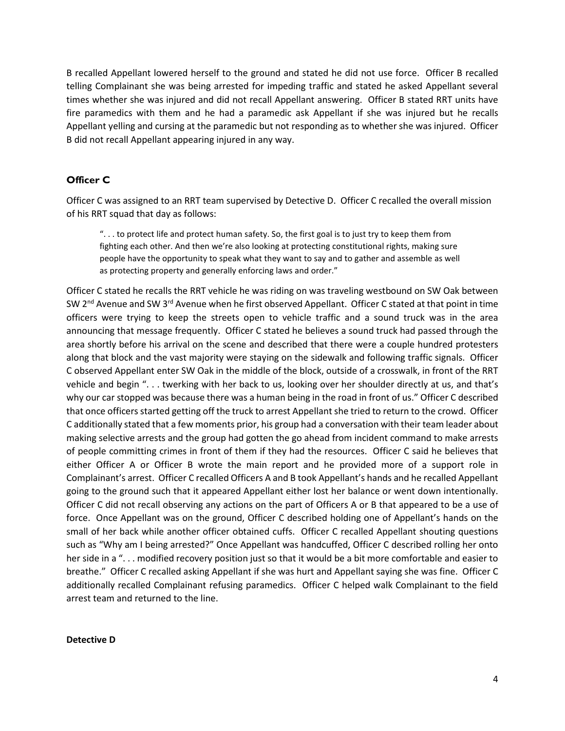B recalled Appellant lowered herself to the ground and stated he did not use force. Officer B recalled telling Complainant she was being arrested for impeding traffic and stated he asked Appellant several times whether she was injured and did not recall Appellant answering. Officer B stated RRT units have fire paramedics with them and he had a paramedic ask Appellant if she was injured but he recalls Appellant yelling and cursing at the paramedic but not responding as to whether she was injured. Officer B did not recall Appellant appearing injured in any way.

## **Officer C**

Officer C was assigned to an RRT team supervised by Detective D. Officer C recalled the overall mission of his RRT squad that day as follows:

". . . to protect life and protect human safety. So, the first goal is to just try to keep them from fighting each other. And then we're also looking at protecting constitutional rights, making sure people have the opportunity to speak what they want to say and to gather and assemble as well as protecting property and generally enforcing laws and order."

Officer C stated he recalls the RRT vehicle he was riding on was traveling westbound on SW Oak between SW 2<sup>nd</sup> Avenue and SW 3<sup>rd</sup> Avenue when he first observed Appellant. Officer C stated at that point in time officers were trying to keep the streets open to vehicle traffic and a sound truck was in the area announcing that message frequently. Officer C stated he believes a sound truck had passed through the area shortly before his arrival on the scene and described that there were a couple hundred protesters along that block and the vast majority were staying on the sidewalk and following traffic signals. Officer C observed Appellant enter SW Oak in the middle of the block, outside of a crosswalk, in front of the RRT vehicle and begin ". . . twerking with her back to us, looking over her shoulder directly at us, and that's why our car stopped was because there was a human being in the road in front of us." Officer C described that once officers started getting off the truck to arrest Appellant she tried to return to the crowd. Officer C additionally stated that a few moments prior, his group had a conversation with their team leader about making selective arrests and the group had gotten the go ahead from incident command to make arrests of people committing crimes in front of them if they had the resources. Officer C said he believes that either Officer A or Officer B wrote the main report and he provided more of a support role in Complainant's arrest. Officer C recalled Officers A and B took Appellant's hands and he recalled Appellant going to the ground such that it appeared Appellant either lost her balance or went down intentionally. Officer C did not recall observing any actions on the part of Officers A or B that appeared to be a use of force. Once Appellant was on the ground, Officer C described holding one of Appellant's hands on the small of her back while another officer obtained cuffs. Officer C recalled Appellant shouting questions such as "Why am I being arrested?" Once Appellant was handcuffed, Officer C described rolling her onto her side in a "... modified recovery position just so that it would be a bit more comfortable and easier to breathe." Officer C recalled asking Appellant if she was hurt and Appellant saying she was fine. Officer C additionally recalled Complainant refusing paramedics. Officer C helped walk Complainant to the field arrest team and returned to the line.

#### **Detective D**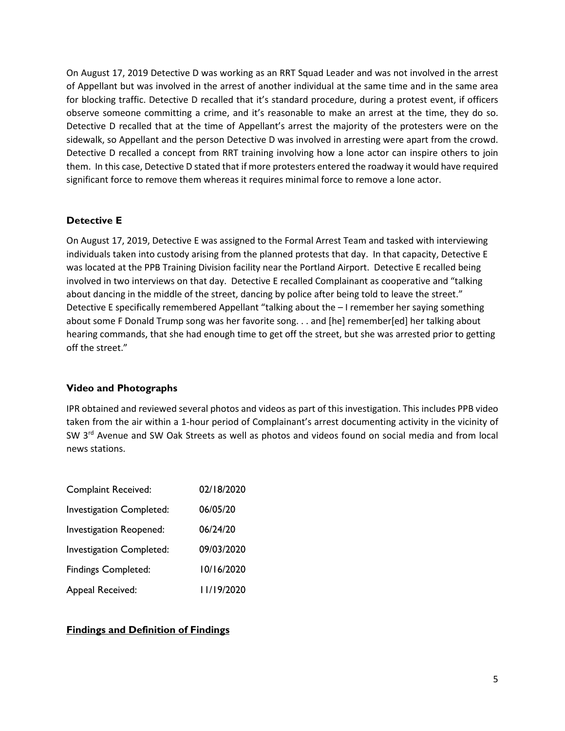On August 17, 2019 Detective D was working as an RRT Squad Leader and was not involved in the arrest of Appellant but was involved in the arrest of another individual at the same time and in the same area for blocking traffic. Detective D recalled that it's standard procedure, during a protest event, if officers observe someone committing a crime, and it's reasonable to make an arrest at the time, they do so. Detective D recalled that at the time of Appellant's arrest the majority of the protesters were on the sidewalk, so Appellant and the person Detective D was involved in arresting were apart from the crowd. Detective D recalled a concept from RRT training involving how a lone actor can inspire others to join them. In this case, Detective D stated that if more protesters entered the roadway it would have required significant force to remove them whereas it requires minimal force to remove a lone actor.

## **Detective E**

On August 17, 2019, Detective E was assigned to the Formal Arrest Team and tasked with interviewing individuals taken into custody arising from the planned protests that day. In that capacity, Detective E was located at the PPB Training Division facility near the Portland Airport. Detective E recalled being involved in two interviews on that day. Detective E recalled Complainant as cooperative and "talking about dancing in the middle of the street, dancing by police after being told to leave the street." Detective E specifically remembered Appellant "talking about the – I remember her saying something about some F Donald Trump song was her favorite song. . . and [he] remember[ed] her talking about hearing commands, that she had enough time to get off the street, but she was arrested prior to getting off the street."

### **Video and Photographs**

IPR obtained and reviewed several photos and videos as part of this investigation. This includes PPB video taken from the air within a 1-hour period of Complainant's arrest documenting activity in the vicinity of SW 3<sup>rd</sup> Avenue and SW Oak Streets as well as photos and videos found on social media and from local news stations.

| <b>Complaint Received:</b>      | 02/18/2020 |
|---------------------------------|------------|
| <b>Investigation Completed:</b> | 06/05/20   |
| Investigation Reopened:         | 06/24/20   |
| Investigation Completed:        | 09/03/2020 |
| <b>Findings Completed:</b>      | 10/16/2020 |
| Appeal Received:                | 11/19/2020 |

# **Findings and Definition of Findings**